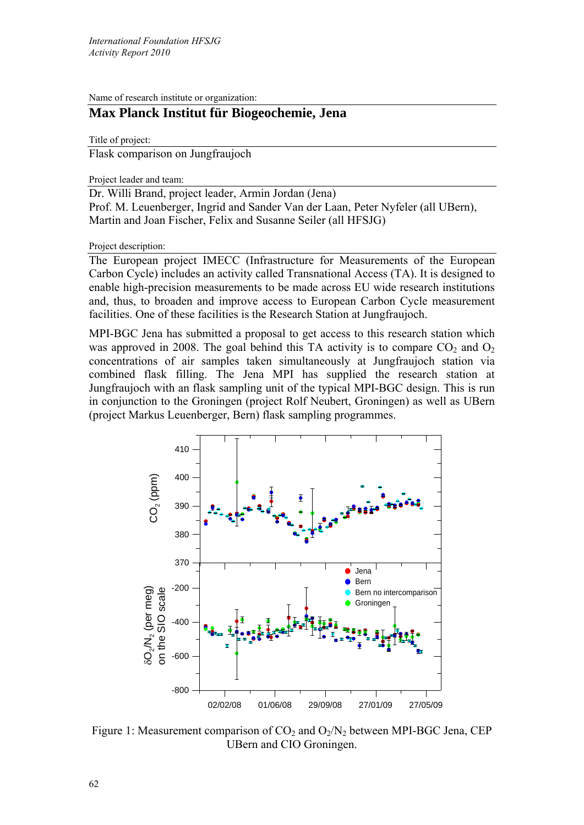Name of research institute or organization:

# **Max Planck Institut für Biogeochemie, Jena**

Title of project:

Flask comparison on Jungfraujoch

Project leader and team:

Dr. Willi Brand, project leader, Armin Jordan (Jena) Prof. M. Leuenberger, Ingrid and Sander Van der Laan, Peter Nyfeler (all UBern), Martin and Joan Fischer, Felix and Susanne Seiler (all HFSJG)

#### Project description:

The European project IMECC (Infrastructure for Measurements of the European Carbon Cycle) includes an activity called Transnational Access (TA). It is designed to enable high-precision measurements to be made across EU wide research institutions and, thus, to broaden and improve access to European Carbon Cycle measurement facilities. One of these facilities is the Research Station at Jungfraujoch.

MPI-BGC Jena has submitted a proposal to get access to this research station which was approved in 2008. The goal behind this TA activity is to compare  $CO<sub>2</sub>$  and  $O<sub>2</sub>$ concentrations of air samples taken simultaneously at Jungfraujoch station via combined flask filling. The Jena MPI has supplied the research station at Jungfraujoch with an flask sampling unit of the typical MPI-BGC design. This is run in conjunction to the Groningen (project Rolf Neubert, Groningen) as well as UBern (project Markus Leuenberger, Bern) flask sampling programmes.



Figure 1: Measurement comparison of  $CO_2$  and  $O_2/N_2$  between MPI-BGC Jena, CEP UBern and CIO Groningen.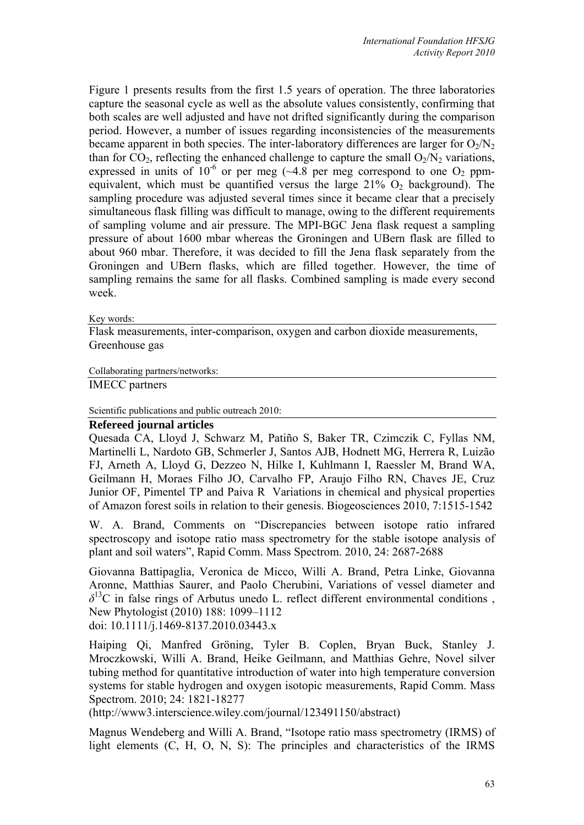Figure 1 presents results from the first 1.5 years of operation. The three laboratories capture the seasonal cycle as well as the absolute values consistently, confirming that both scales are well adjusted and have not drifted significantly during the comparison period. However, a number of issues regarding inconsistencies of the measurements became apparent in both species. The inter-laboratory differences are larger for  $O_2/N_2$ than for  $CO_2$ , reflecting the enhanced challenge to capture the small  $O_2/N_2$  variations, expressed in units of  $10^{-6}$  or per meg ( $\sim$ 4.8 per meg correspond to one O<sub>2</sub> ppmequivalent, which must be quantified versus the large  $21\%$  O<sub>2</sub> background). The sampling procedure was adjusted several times since it became clear that a precisely simultaneous flask filling was difficult to manage, owing to the different requirements of sampling volume and air pressure. The MPI-BGC Jena flask request a sampling pressure of about 1600 mbar whereas the Groningen and UBern flask are filled to about 960 mbar. Therefore, it was decided to fill the Jena flask separately from the Groningen and UBern flasks, which are filled together. However, the time of sampling remains the same for all flasks. Combined sampling is made every second week.

#### Key words:

Flask measurements, inter-comparison, oxygen and carbon dioxide measurements, Greenhouse gas

Collaborating partners/networks:

IMECC partners

Scientific publications and public outreach 2010:

## **Refereed journal articles**

Quesada CA, Lloyd J, Schwarz M, Patiño S, Baker TR, Czimczik C, Fyllas NM, Martinelli L, Nardoto GB, Schmerler J, Santos AJB, Hodnett MG, Herrera R, Luizão FJ, Arneth A, Lloyd G, Dezzeo N, Hilke I, Kuhlmann I, Raessler M, Brand WA, Geilmann H, Moraes Filho JO, Carvalho FP, Araujo Filho RN, Chaves JE, Cruz Junior OF, Pimentel TP and Paiva R Variations in chemical and physical properties of Amazon forest soils in relation to their genesis. Biogeosciences 2010, 7:1515-1542

W. A. Brand, Comments on "Discrepancies between isotope ratio infrared spectroscopy and isotope ratio mass spectrometry for the stable isotope analysis of plant and soil waters", Rapid Comm. Mass Spectrom. 2010, 24: 2687-2688

Giovanna Battipaglia, Veronica de Micco, Willi A. Brand, Petra Linke, Giovanna Aronne, Matthias Saurer, and Paolo Cherubini, Variations of vessel diameter and  $\delta^{13}$ C in false rings of Arbutus unedo L. reflect different environmental conditions, New Phytologist (2010) 188: 1099–1112

doi: 10.1111/j.1469-8137.2010.03443.x

Haiping Qi, Manfred Gröning, Tyler B. Coplen, Bryan Buck, Stanley J. Mroczkowski, Willi A. Brand, Heike Geilmann, and Matthias Gehre, Novel silver tubing method for quantitative introduction of water into high temperature conversion systems for stable hydrogen and oxygen isotopic measurements, Rapid Comm. Mass Spectrom. 2010; 24: 1821-18277

(http://www3.interscience.wiley.com/journal/123491150/abstract)

Magnus Wendeberg and Willi A. Brand, "Isotope ratio mass spectrometry (IRMS) of light elements (C, H, O, N, S): The principles and characteristics of the IRMS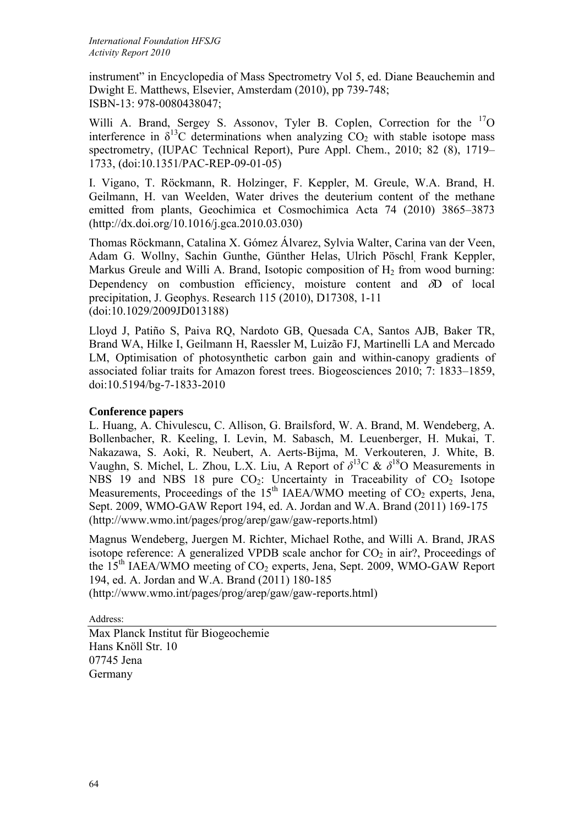instrument" in Encyclopedia of Mass Spectrometry Vol 5, ed. Diane Beauchemin and Dwight E. Matthews, Elsevier, Amsterdam (2010), pp 739-748; ISBN-13: 978-0080438047;

Willi A. Brand, Sergey S. Assonov, Tyler B. Coplen, Correction for the <sup>17</sup>O interference in  $\delta^{13}$ C determinations when analyzing CO<sub>2</sub> with stable isotope mass spectrometry, (IUPAC Technical Report), Pure Appl. Chem., 2010; 82 (8), 1719– 1733, (doi:10.1351/PAC-REP-09-01-05)

I. Vigano, T. Röckmann, R. Holzinger, F. Keppler, M. Greule, W.A. Brand, H. Geilmann, H. van Weelden, Water drives the deuterium content of the methane emitted from plants, Geochimica et Cosmochimica Acta 74 (2010) 3865–3873 (http://dx.doi.org/10.1016/j.gca.2010.03.030)

Thomas Röckmann, Catalina X. Gómez Álvarez, Sylvia Walter, Carina van der Veen, Adam G. Wollny, Sachin Gunthe, Günther Helas, Ulrich Pöschl, Frank Keppler, Markus Greule and Willi A. Brand, Isotopic composition of  $H_2$  from wood burning: Dependency on combustion efficiency, moisture content and  $\delta D$  of local precipitation, J. Geophys. Research 115 (2010), D17308, 1-11 (doi:10.1029/2009JD013188)

Lloyd J, Patiño S, Paiva RQ, Nardoto GB, Quesada CA, Santos AJB, Baker TR, Brand WA, Hilke I, Geilmann H, Raessler M, Luizão FJ, Martinelli LA and Mercado LM, Optimisation of photosynthetic carbon gain and within-canopy gradients of associated foliar traits for Amazon forest trees. Biogeosciences 2010; 7: 1833–1859, doi:10.5194/bg-7-1833-2010

### **Conference papers**

L. Huang, A. Chivulescu, C. Allison, G. Brailsford, W. A. Brand, M. Wendeberg, A. Bollenbacher, R. Keeling, I. Levin, M. Sabasch, M. Leuenberger, H. Mukai, T. Nakazawa, S. Aoki, R. Neubert, A. Aerts-Bijma, M. Verkouteren, J. White, B. Vaughn, S. Michel, L. Zhou, L.X. Liu, A Report of  $\delta^{13}C \& \delta^{18}O$  Measurements in NBS 19 and NBS 18 pure  $CO_2$ : Uncertainty in Traceability of  $CO_2$  Isotope Measurements, Proceedings of the  $15<sup>th</sup>$  IAEA/WMO meeting of  $CO<sub>2</sub>$  experts, Jena, Sept. 2009, WMO-GAW Report 194, ed. A. Jordan and W.A. Brand (2011) 169-175 (http://www.wmo.int/pages/prog/arep/gaw/gaw-reports.html)

Magnus Wendeberg, Juergen M. Richter, Michael Rothe, and Willi A. Brand, JRAS isotope reference: A generalized VPDB scale anchor for  $CO<sub>2</sub>$  in air?, Proceedings of the  $15<sup>th</sup>$  IAEA/WMO meeting of CO<sub>2</sub> experts, Jena, Sept. 2009, WMO-GAW Report 194, ed. A. Jordan and W.A. Brand (2011) 180-185

(http://www.wmo.int/pages/prog/arep/gaw/gaw-reports.html)

Address:

Max Planck Institut für Biogeochemie Hans Knöll Str. 10 07745 Jena Germany